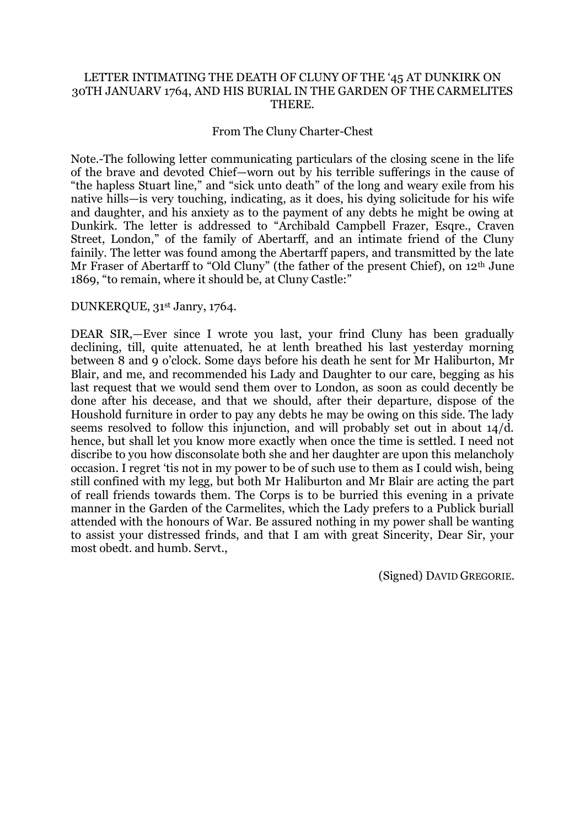## LETTER INTIMATING THE DEATH OF CLUNY OF THE '45 AT DUNKIRK ON 30TH JANUARV 1764, AND HIS BURIAL IN THE GARDEN OF THE CARMELITES THERE.

## From The Cluny Charter-Chest

Note.-The following letter communicating particulars of the closing scene in the life of the brave and devoted Chief—worn out by his terrible sufferings in the cause of "the hapless Stuart line," and "sick unto death" of the long and weary exile from his native hills—is very touching, indicating, as it does, his dying solicitude for his wife and daughter, and his anxiety as to the payment of any debts he might be owing at Dunkirk. The letter is addressed to "Archibald Campbell Frazer, Esqre., Craven Street, London," of the family of Abertarff, and an intimate friend of the Cluny fainily. The letter was found among the Abertarff papers, and transmitted by the late Mr Fraser of Abertarff to "Old Cluny" (the father of the present Chief), on 12<sup>th</sup> June 1869, "to remain, where it should be, at Cluny Castle:"

## DUNKERQUE, 31st Janry, 1764.

DEAR SIR,—Ever since I wrote you last, your frind Cluny has been gradually declining, till, quite attenuated, he at lenth breathed his last yesterday morning between 8 and 9 o"clock. Some days before his death he sent for Mr Haliburton, Mr Blair, and me, and recommended his Lady and Daughter to our care, begging as his last request that we would send them over to London, as soon as could decently be done after his decease, and that we should, after their departure, dispose of the Houshold furniture in order to pay any debts he may be owing on this side. The lady seems resolved to follow this injunction, and will probably set out in about 14/d. hence, but shall let you know more exactly when once the time is settled. I need not discribe to you how disconsolate both she and her daughter are upon this melancholy occasion. I regret "tis not in my power to be of such use to them as I could wish, being still confined with my legg, but both Mr Haliburton and Mr Blair are acting the part of reall friends towards them. The Corps is to be burried this evening in a private manner in the Garden of the Carmelites, which the Lady prefers to a Publick buriall attended with the honours of War. Be assured nothing in my power shall be wanting to assist your distressed frinds, and that I am with great Sincerity, Dear Sir, your most obedt. and humb. Servt.,

(Signed) DAVID GREGORIE.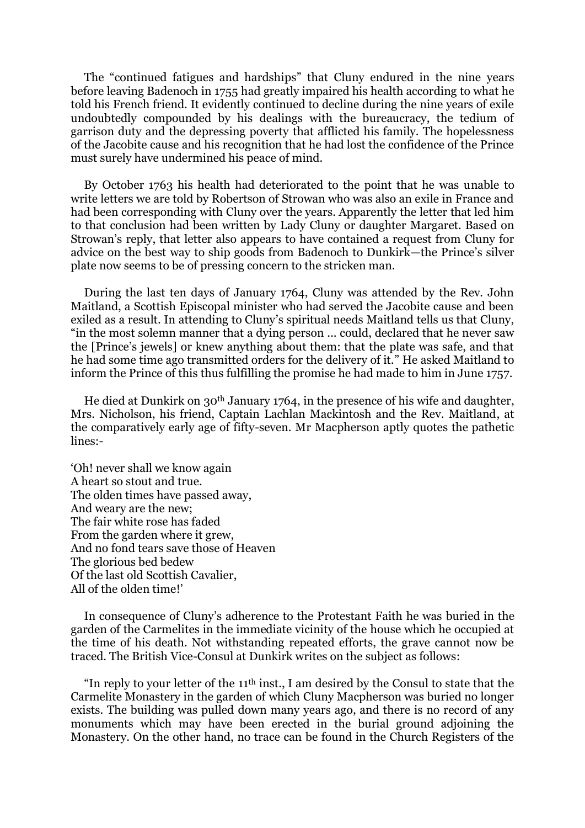The "continued fatigues and hardships" that Cluny endured in the nine years before leaving Badenoch in 1755 had greatly impaired his health according to what he told his French friend. It evidently continued to decline during the nine years of exile undoubtedly compounded by his dealings with the bureaucracy, the tedium of garrison duty and the depressing poverty that afflicted his family. The hopelessness of the Jacobite cause and his recognition that he had lost the confidence of the Prince must surely have undermined his peace of mind.

By October 1763 his health had deteriorated to the point that he was unable to write letters we are told by Robertson of Strowan who was also an exile in France and had been corresponding with Cluny over the years. Apparently the letter that led him to that conclusion had been written by Lady Cluny or daughter Margaret. Based on Strowan"s reply, that letter also appears to have contained a request from Cluny for advice on the best way to ship goods from Badenoch to Dunkirk—the Prince"s silver plate now seems to be of pressing concern to the stricken man.

During the last ten days of January 1764, Cluny was attended by the Rev. John Maitland, a Scottish Episcopal minister who had served the Jacobite cause and been exiled as a result. In attending to Cluny"s spiritual needs Maitland tells us that Cluny, "in the most solemn manner that a dying person ... could, declared that he never saw the [Prince"s jewels] or knew anything about them: that the plate was safe, and that he had some time ago transmitted orders for the delivery of it." He asked Maitland to inform the Prince of this thus fulfilling the promise he had made to him in June 1757.

He died at Dunkirk on 30th January 1764, in the presence of his wife and daughter, Mrs. Nicholson, his friend, Captain Lachlan Mackintosh and the Rev. Maitland, at the comparatively early age of fifty-seven. Mr Macpherson aptly quotes the pathetic lines:-

"Oh! never shall we know again A heart so stout and true. The olden times have passed away, And weary are the new; The fair white rose has faded From the garden where it grew, And no fond tears save those of Heaven The glorious bed bedew Of the last old Scottish Cavalier, All of the olden time!"

In consequence of Cluny"s adherence to the Protestant Faith he was buried in the garden of the Carmelites in the immediate vicinity of the house which he occupied at the time of his death. Not withstanding repeated efforts, the grave cannot now be traced. The British Vice-Consul at Dunkirk writes on the subject as follows:

"In reply to your letter of the  $11<sup>th</sup>$  inst., I am desired by the Consul to state that the Carmelite Monastery in the garden of which Cluny Macpherson was buried no longer exists. The building was pulled down many years ago, and there is no record of any monuments which may have been erected in the burial ground adjoining the Monastery. On the other hand, no trace can be found in the Church Registers of the